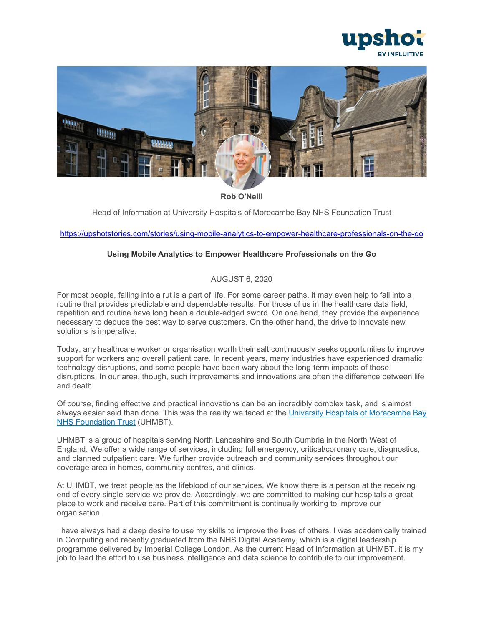



**Rob O'Neill**

Head of Information at University Hospitals of Morecambe Bay NHS Foundation Trust

<https://upshotstories.com/stories/using-mobile-analytics-to-empower-healthcare-professionals-on-the-go>

# **Using Mobile Analytics to Empower Healthcare Professionals on the Go**

# AUGUST 6, 2020

For most people, falling into a rut is a part of life. For some career paths, it may even help to fall into a routine that provides predictable and dependable results. For those of us in the healthcare data field, repetition and routine have long been a double-edged sword. On one hand, they provide the experience necessary to deduce the best way to serve customers. On the other hand, the drive to innovate new solutions is imperative.

Today, any healthcare worker or organisation worth their salt continuously seeks opportunities to improve support for workers and overall patient care. In recent years, many industries have experienced dramatic technology disruptions, and some people have been wary about the long-term impacts of those disruptions. In our area, though, such improvements and innovations are often the difference between life and death.

Of course, finding effective and practical innovations can be an incredibly complex task, and is almost always easier said than done. This was the reality we faced at the [University Hospitals of Morecambe Bay](https://www.uhmb.nhs.uk/)  [NHS Foundation Trust](https://www.uhmb.nhs.uk/) (UHMBT).

UHMBT is a group of hospitals serving North Lancashire and South Cumbria in the North West of England. We offer a wide range of services, including full emergency, critical/coronary care, diagnostics, and planned outpatient care. We further provide outreach and community services throughout our coverage area in homes, community centres, and clinics.

At UHMBT, we treat people as the lifeblood of our services. We know there is a person at the receiving end of every single service we provide. Accordingly, we are committed to making our hospitals a great place to work and receive care. Part of this commitment is continually working to improve our organisation.

I have always had a deep desire to use my skills to improve the lives of others. I was academically trained in Computing and recently graduated from the NHS Digital Academy, which is a digital leadership programme delivered by Imperial College London. As the current Head of Information at UHMBT, it is my job to lead the effort to use business intelligence and data science to contribute to our improvement.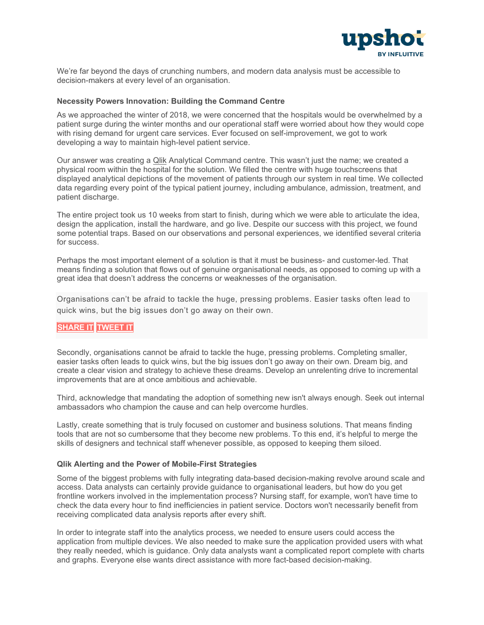

We're far beyond the days of crunching numbers, and modern data analysis must be accessible to decision-makers at every level of an organisation.

#### **Necessity Powers Innovation: Building the Command Centre**

As we approached the winter of 2018, we were concerned that the hospitals would be overwhelmed by a patient surge during the winter months and our operational staff were worried about how they would cope with rising demand for urgent care services. Ever focused on self-improvement, we got to work developing a way to maintain high-level patient service.

Our answer was creating a [Qlik](https://www.qlik.com/us/) Analytical Command centre. This wasn't just the name; we created a physical room within the hospital for the solution. We filled the centre with huge touchscreens that displayed analytical depictions of the movement of patients through our system in real time. We collected data regarding every point of the typical patient journey, including ambulance, admission, treatment, and patient discharge.

The entire project took us 10 weeks from start to finish, during which we were able to articulate the idea, design the application, install the hardware, and go live. Despite our success with this project, we found some potential traps. Based on our observations and personal experiences, we identified several criteria for success.

Perhaps the most important element of a solution is that it must be business- and customer-led. That means finding a solution that flows out of genuine organisational needs, as opposed to coming up with a great idea that doesn't address the concerns or weaknesses of the organisation.

Organisations can't be afraid to tackle the huge, pressing problems. Easier tasks often lead to quick wins, but the big issues don't go away on their own.

# **[SHARE](https://linkedin.com/shareArticle?url=http%3A%2F%2Fupshotstories.com%2Fstories%2F754%3Futm_source%3Dpost%26utm_medium%3Dlinkedin1%26utm_campaign%3Dpost754&mini=true&title=Organisations%20can%E2%80%99t%20be%20afraid%20to%20tackle%20the%20huge%2C%20pressing%20problems.%20Easier%20tasks%20often%20lead%20to%20quick%20wins%2C%20but%20the%20big%20issues%20don%E2%80%99t%20go%20away%20on%20their%20own.%20%20%20%20%20%20%20&summary=Using%20Mobile%20Analytics%20to%20Empower%20Healthcare%20Professionals%20on%20the%20Go) IT [TWEET](https://twitter.com/intent/tweet?text=Organisations%20can%E2%80%99t%20be%20afraid%20to%20tackle%20the%20huge%2C%20pressing%20problems.%20Easier%20tasks%20often%20lead%20to%20quick%20wins%2C%20but%20the%20big%20issues%20don%E2%80%99t%20go%20away%20on%20their%20own.%20%20http%3A%2F%2Fupshotstories.com%2Fstories%2F754%3Futm_source%3Dpost%26utm_medium%3Dtweet1%26utm_campaign%3Dpost754) IT**

Secondly, organisations cannot be afraid to tackle the huge, pressing problems. Completing smaller, easier tasks often leads to quick wins, but the big issues don't go away on their own. Dream big, and create a clear vision and strategy to achieve these dreams. Develop an unrelenting drive to incremental improvements that are at once ambitious and achievable.

Third, acknowledge that mandating the adoption of something new isn't always enough. Seek out internal ambassadors who champion the cause and can help overcome hurdles.

Lastly, create something that is truly focused on customer and business solutions. That means finding tools that are not so cumbersome that they become new problems. To this end, it's helpful to merge the skills of designers and technical staff whenever possible, as opposed to keeping them siloed.

#### **Qlik Alerting and the Power of Mobile-First Strategies**

Some of the biggest problems with fully integrating data-based decision-making revolve around scale and access. Data analysts can certainly provide guidance to organisational leaders, but how do you get frontline workers involved in the implementation process? Nursing staff, for example, won't have time to check the data every hour to find inefficiencies in patient service. Doctors won't necessarily benefit from receiving complicated data analysis reports after every shift.

In order to integrate staff into the analytics process, we needed to ensure users could access the application from multiple devices. We also needed to make sure the application provided users with what they really needed, which is guidance. Only data analysts want a complicated report complete with charts and graphs. Everyone else wants direct assistance with more fact-based decision-making.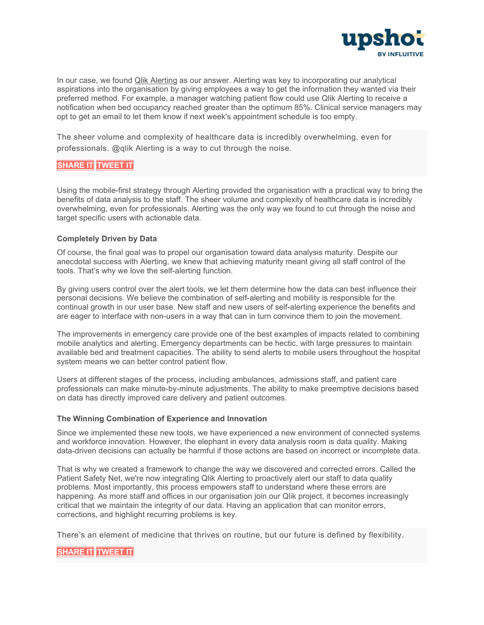

In our case, we found [Qlik Alerting](https://www.qlik.com/us/products/qlik-alerting) as our answer. Alerting was key to incorporating our analytical aspirations into the organisation by giving employees a way to get the information they wanted via their preferred method. For example, a manager watching patient flow could use Qlik Alerting to receive a notification when bed occupancy reached greater than the optimum 85%. Clinical service managers may opt to get an email to let them know if next week's appointment schedule is too empty.

The sheer volume and complexity of healthcare data is incredibly overwhelming, even for professionals. @qlik Alerting is a way to cut through the noise.

# **[SHARE](https://linkedin.com/shareArticle?url=http%3A%2F%2Fupshotstories.com%2Fstories%2F754%3Futm_source%3Dpost%26utm_medium%3Dlinkedin2%26utm_campaign%3Dpost754&mini=true&title=The%20sheer%20volume%20and%20complexity%20of%20healthcare%20data%20is%20incredibly%20overwhelming%2C%20even%20for%20professionals.%20%40qlik%20Alerting%20is%20a%20way%20to%20cut%20through%20the%20noise.%20%20%20%20%20%20%20&summary=Using%20Mobile%20Analytics%20to%20Empower%20Healthcare%20Professionals%20on%20the%20Go) IT [TWEET](https://twitter.com/intent/tweet?text=The%20sheer%20volume%20and%20complexity%20of%20healthcare%20data%20is%20incredibly%20overwhelming%2C%20even%20for%20professionals.%20%40qlik%20Alerting%20is%20a%20way%20to%20cut%20through%20the%20noise.%20%20http%3A%2F%2Fupshotstories.com%2Fstories%2F754%3Futm_source%3Dpost%26utm_medium%3Dtweet2%26utm_campaign%3Dpost754) IT**

Using the mobile-first strategy through Alerting provided the organisation with a practical way to bring the benefits of data analysis to the staff. The sheer volume and complexity of healthcare data is incredibly overwhelming, even for professionals. Alerting was the only way we found to cut through the noise and target specific users with actionable data.

# **Completely Driven by Data**

Of course, the final goal was to propel our organisation toward data analysis maturity. Despite our anecdotal success with Alerting, we knew that achieving maturity meant giving all staff control of the tools. That's why we love the self-alerting function.

By giving users control over the alert tools, we let them determine how the data can best influence their personal decisions. We believe the combination of self-alerting and mobility is responsible for the continual growth in our user base. New staff and new users of self-alerting experience the benefits and are eager to interface with non-users in a way that can in turn convince them to join the movement.

The improvements in emergency care provide one of the best examples of impacts related to combining mobile analytics and alerting. Emergency departments can be hectic, with large pressures to maintain available bed and treatment capacities. The ability to send alerts to mobile users throughout the hospital system means we can better control patient flow.

Users at different stages of the process, including ambulances, admissions staff, and patient care professionals can make minute-by-minute adjustments. The ability to make preemptive decisions based on data has directly improved care delivery and patient outcomes.

### **The Winning Combination of Experience and Innovation**

Since we implemented these new tools, we have experienced a new environment of connected systems and workforce innovation. However, the elephant in every data analysis room is data quality. Making data-driven decisions can actually be harmful if those actions are based on incorrect or incomplete data.

That is why we created a framework to change the way we discovered and corrected errors. Called the Patient Safety Net, we're now integrating Qlik Alerting to proactively alert our staff to data quality problems. Most importantly, this process empowers staff to understand where these errors are happening. As more staff and offices in our organisation join our Qlik project, it becomes increasingly critical that we maintain the integrity of our data. Having an application that can monitor errors, corrections, and highlight recurring problems is key.

There's an element of medicine that thrives on routine, but our future is defined by flexibility.

# **[SHARE](https://linkedin.com/shareArticle?url=http%3A%2F%2Fupshotstories.com%2Fstories%2F754%3Futm_source%3Dpost%26utm_medium%3Dlinkedin3%26utm_campaign%3Dpost754&mini=true&title=There%E2%80%99s%20an%20element%20of%20medicine%20that%20thrives%20on%20routine%2C%20but%20our%20future%20is%20defined%20by%20flexibility.%20%20%20%20%20%20%20&summary=Using%20Mobile%20Analytics%20to%20Empower%20Healthcare%20Professionals%20on%20the%20Go) IT [TWEET](https://twitter.com/intent/tweet?text=There%E2%80%99s%20an%20element%20of%20medicine%20that%20thrives%20on%20routine%2C%20but%20our%20future%20is%20defined%20by%20flexibility.%20%20http%3A%2F%2Fupshotstories.com%2Fstories%2F754%3Futm_source%3Dpost%26utm_medium%3Dtweet3%26utm_campaign%3Dpost754) IT**